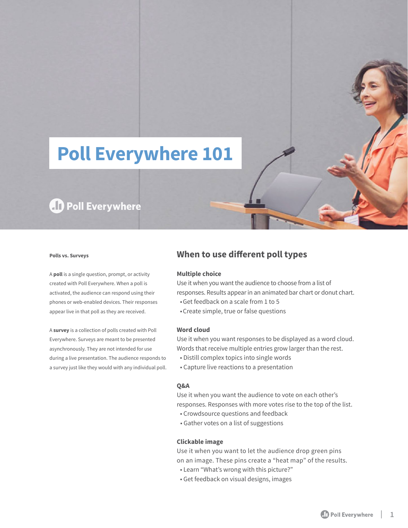# **Poll Everywhere 101**

## **AD** Poll Everywhere

#### **Polls vs. Surveys**

A **poll** is a single question, prompt, or activity created with Poll Everywhere. When a poll is activated, the audience can respond using their phones or web-enabled devices. Their responses appear live in that poll as they are received.

A **survey** is a collection of polls created with Poll Everywhere. Surveys are meant to be presented asynchronously. They are not intended for use during a live presentation. The audience responds to a survey just like they would with any individual poll.

### **When to use different poll types**

#### **Multiple choice**

Use it when you want the audience to choose from a list of responses. Results appear in an animated bar chart or donut chart.

- Get feedback on a scale from 1 to 5
- Create simple, true or false questions

#### **Word cloud**

Use it when you want responses to be displayed as a word cloud. Words that receive multiple entries grow larger than the rest.

- Distill complex topics into single words
- Capture live reactions to a presentation

#### **Q&A**

Use it when you want the audience to vote on each other's responses. Responses with more votes rise to the top of the list.

- Crowdsource questions and feedback
- Gather votes on a list of suggestions

#### **Clickable image**

Use it when you want to let the audience drop green pins on an image. These pins create a "heat map" of the results.

- Learn "What's wrong with this picture?"
- Get feedback on visual designs, images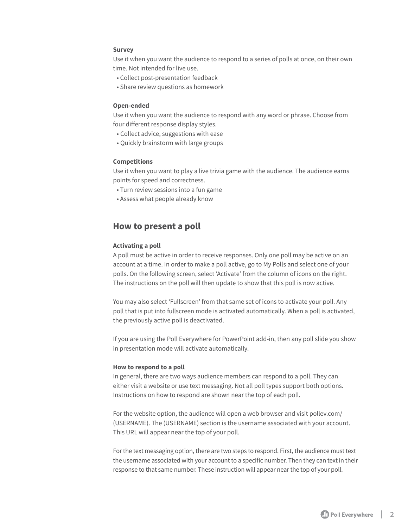#### **Survey**

Use it when you want the audience to respond to a series of polls at once, on their own time. Not intended for live use.

- Collect post-presentation feedback
- Share review questions as homework

#### **Open-ended**

Use it when you want the audience to respond with any word or phrase. Choose from four different response display styles.

- Collect advice, suggestions with ease
- Quickly brainstorm with large groups

#### **Competitions**

Use it when you want to play a live trivia game with the audience. The audience earns points for speed and correctness.

- Turn review sessions into a fun game
- Assess what people already know

#### **How to present a poll**

#### **Activating a poll**

A poll must be active in order to receive responses. Only one poll may be active on an account at a time. In order to make a poll active, go to My Polls and select one of your polls. On the following screen, select 'Activate' from the column of icons on the right. The instructions on the poll will then update to show that this poll is now active.

You may also select 'Fullscreen' from that same set of icons to activate your poll. Any poll that is put into fullscreen mode is activated automatically. When a poll is activated, the previously active poll is deactivated.

If you are using the Poll Everywhere for PowerPoint add-in, then any poll slide you show in presentation mode will activate automatically.

#### **How to respond to a poll**

In general, there are two ways audience members can respond to a poll. They can either visit a website or use text messaging. Not all poll types support both options. Instructions on how to respond are shown near the top of each poll.

For the website option, the audience will open a web browser and visit pollev.com/ (USERNAME). The (USERNAME) section is the username associated with your account. This URL will appear near the top of your poll.

For the text messaging option, there are two steps to respond. First, the audience must text the username associated with your account to a specific number. Then they can text in their response to that same number. These instruction will appear near the top of your poll.